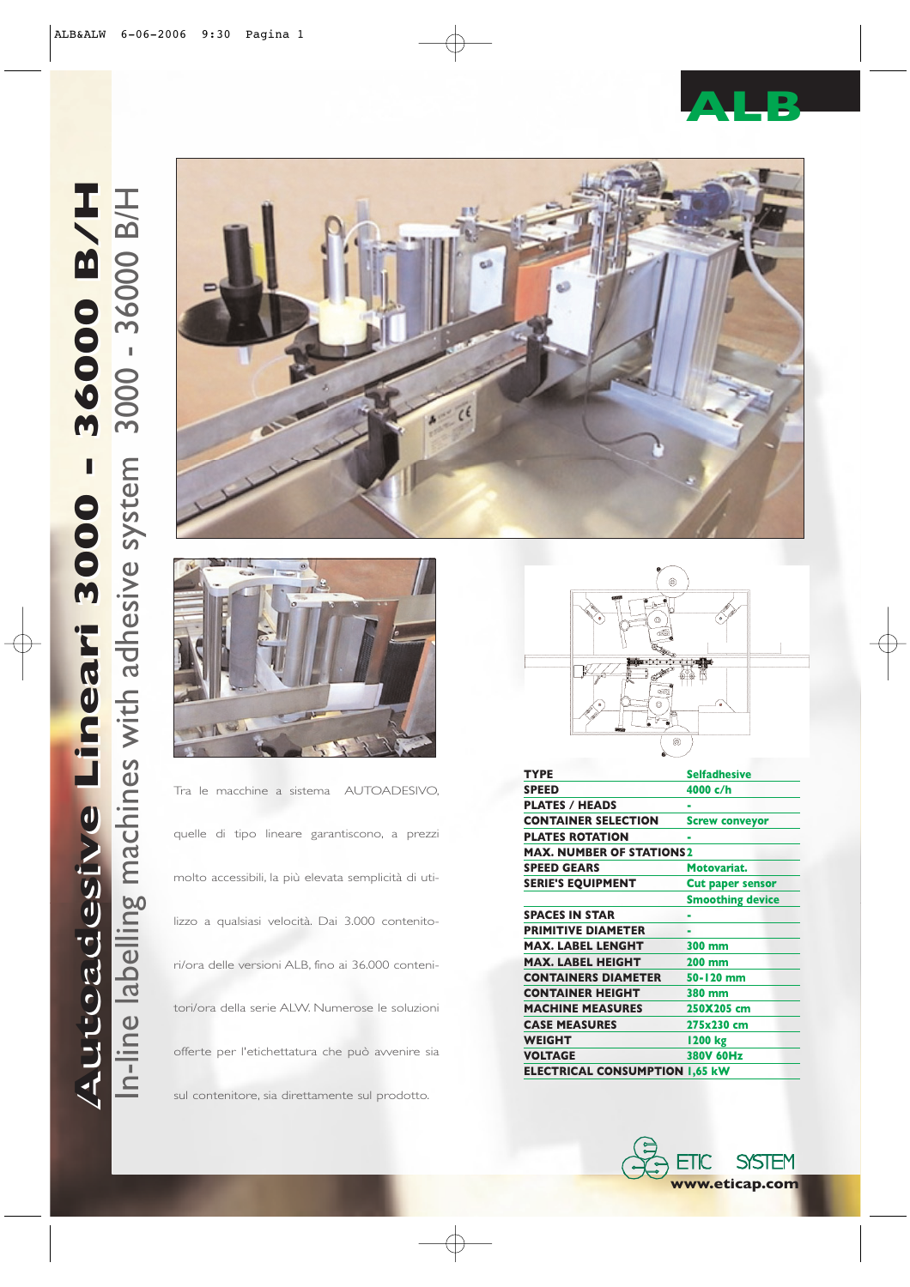





Tra le macchine a sistema AUTOADESIVO, quelle di tipo lineare garantiscono, a prezzi molto accessibili, la più elevata semplicità di utilizzo a qualsiasi velocità. Dai 3.000 contenitoofferte per l'etichettatura che può avvenire sia

ri/ora delle versioni ALB, fino ai 36.000 conteni-

tori/ora della serie ALW. Numerose le soluzioni

sul contenitore, sia direttamente sul prodotto.



| <b>TYPE</b>                           | <b>Selfadhesive</b>     |
|---------------------------------------|-------------------------|
| <b>SPEED</b>                          | 4000 c/h                |
| <b>PLATES / HEADS</b>                 | ۰                       |
| <b>CONTAINER SELECTION</b>            | <b>Screw conveyor</b>   |
| <b>PLATES ROTATION</b>                |                         |
| <b>MAX. NUMBER OF STATIONS?</b>       |                         |
| <b>SPEED GEARS</b>                    | Motovariat.             |
| <b>SERIE'S EQUIPMENT</b>              | <b>Cut paper sensor</b> |
|                                       | <b>Smoothing device</b> |
| <b>SPACES IN STAR</b>                 | ٠                       |
| <b>PRIMITIVE DIAMETER</b>             | ۰                       |
| <b>MAX. LABEL LENGHT</b>              | 300 mm                  |
| <b>MAX. LABEL HEIGHT</b>              | $200$ mm                |
| <b>CONTAINERS DIAMETER</b>            | 50-120 mm               |
| <b>CONTAINER HEIGHT</b>               | 380 mm                  |
| <b>MACHINE MEASURES</b>               | 250X205 cm              |
| <b>CASE MEASURES</b>                  | 275x230 cm              |
| <b>WEIGHT</b>                         | 1200 kg                 |
| <b>VOLTAGE</b>                        | 380V 60Hz               |
| <b>ELECTRICAL CONSUMPTION 1,65 kW</b> |                         |